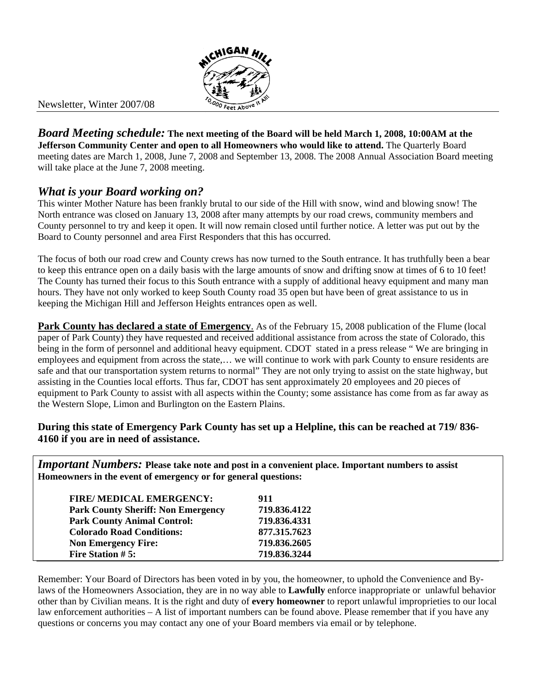

Newsletter, Winter 2007/08

*Board Meeting schedule:* **The next meeting of the Board will be held March 1, 2008, 10:00AM at the Jefferson Community Center and open to all Homeowners who would like to attend.** The Quarterly Board meeting dates are March 1, 2008, June 7, 2008 and September 13, 2008. The 2008 Annual Association Board meeting will take place at the June 7, 2008 meeting.

## *What is your Board working on?*

This winter Mother Nature has been frankly brutal to our side of the Hill with snow, wind and blowing snow! The North entrance was closed on January 13, 2008 after many attempts by our road crews, community members and County personnel to try and keep it open. It will now remain closed until further notice. A letter was put out by the Board to County personnel and area First Responders that this has occurred.

The focus of both our road crew and County crews has now turned to the South entrance. It has truthfully been a bear to keep this entrance open on a daily basis with the large amounts of snow and drifting snow at times of 6 to 10 feet! The County has turned their focus to this South entrance with a supply of additional heavy equipment and many man hours. They have not only worked to keep South County road 35 open but have been of great assistance to us in keeping the Michigan Hill and Jefferson Heights entrances open as well.

**Park County has declared a state of Emergency.** As of the February 15, 2008 publication of the Flume (local paper of Park County) they have requested and received additional assistance from across the state of Colorado, this being in the form of personnel and additional heavy equipment. CDOT stated in a press release "We are bringing in employees and equipment from across the state,… we will continue to work with park County to ensure residents are safe and that our transportation system returns to normal" They are not only trying to assist on the state highway, but assisting in the Counties local efforts. Thus far, CDOT has sent approximately 20 employees and 20 pieces of equipment to Park County to assist with all aspects within the County; some assistance has come from as far away as the Western Slope, Limon and Burlington on the Eastern Plains.

#### **During this state of Emergency Park County has set up a Helpline, this can be reached at 719/ 836- 4160 if you are in need of assistance.**

*Important Numbers:* **Please take note and post in a convenient place. Important numbers to assist Homeowners in the event of emergency or for general questions:** 

| <b>FIRE/ MEDICAL EMERGENCY:</b>           | 911          |
|-------------------------------------------|--------------|
| <b>Park County Sheriff: Non Emergency</b> | 719.836.4122 |
| <b>Park County Animal Control:</b>        | 719.836.4331 |
| <b>Colorado Road Conditions:</b>          | 877.315.7623 |
| <b>Non Emergency Fire:</b>                | 719.836.2605 |
| <b>Fire Station #5:</b>                   | 719.836.3244 |

Remember: Your Board of Directors has been voted in by you, the homeowner, to uphold the Convenience and Bylaws of the Homeowners Association, they are in no way able to **Lawfully** enforce inappropriate or unlawful behavior other than by Civilian means. It is the right and duty of **every homeowner** to report unlawful improprieties to our local law enforcement authorities – A list of important numbers can be found above. Please remember that if you have any questions or concerns you may contact any one of your Board members via email or by telephone.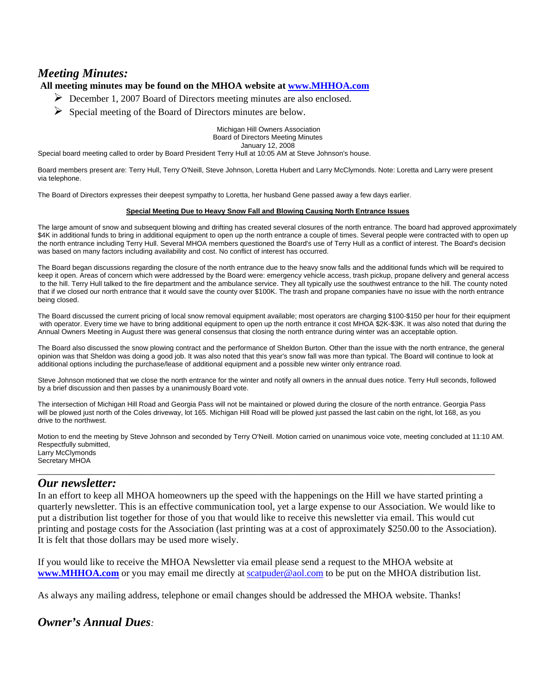# *Meeting Minutes:*

#### **All meeting minutes may be found on the MHOA website at www.MHHOA.com**

- ¾ December 1, 2007 Board of Directors meeting minutes are also enclosed.
- $\triangleright$  Special meeting of the Board of Directors minutes are below.

Michigan Hill Owners Association Board of Directors Meeting Minutes

January 12, 2008

Special board meeting called to order by Board President Terry Hull at 10:05 AM at Steve Johnson's house.

Board members present are: Terry Hull, Terry O'Neill, Steve Johnson, Loretta Hubert and Larry McClymonds. Note: Loretta and Larry were present via telephone.

The Board of Directors expresses their deepest sympathy to Loretta, her husband Gene passed away a few days earlier.

#### **Special Meeting Due to Heavy Snow Fall and Blowing Causing North Entrance Issues**

The large amount of snow and subsequent blowing and drifting has created several closures of the north entrance. The board had approved approximately \$4K in additional funds to bring in additional equipment to open up the north entrance a couple of times. Several people were contracted with to open up the north entrance including Terry Hull. Several MHOA members questioned the Board's use of Terry Hull as a conflict of interest. The Board's decision was based on many factors including availability and cost. No conflict of interest has occurred.

The Board began discussions regarding the closure of the north entrance due to the heavy snow falls and the additional funds which will be required to keep it open. Areas of concern which were addressed by the Board were: emergency vehicle access, trash pickup, propane delivery and general access to the hill. Terry Hull talked to the fire department and the ambulance service. They all typically use the southwest entrance to the hill. The county noted that if we closed our north entrance that it would save the county over \$100K. The trash and propane companies have no issue with the north entrance being closed.

The Board discussed the current pricing of local snow removal equipment available; most operators are charging \$100-\$150 per hour for their equipment with operator. Every time we have to bring additional equipment to open up the north entrance it cost MHOA \$2K-\$3K. It was also noted that during the Annual Owners Meeting in August there was general consensus that closing the north entrance during winter was an acceptable option.

The Board also discussed the snow plowing contract and the performance of Sheldon Burton. Other than the issue with the north entrance, the general opinion was that Sheldon was doing a good job. It was also noted that this year's snow fall was more than typical. The Board will continue to look at additional options including the purchase/lease of additional equipment and a possible new winter only entrance road.

Steve Johnson motioned that we close the north entrance for the winter and notify all owners in the annual dues notice. Terry Hull seconds, followed by a brief discussion and then passes by a unanimously Board vote.

The intersection of Michigan Hill Road and Georgia Pass will not be maintained or plowed during the closure of the north entrance. Georgia Pass will be plowed just north of the Coles driveway, lot 165. Michigan Hill Road will be plowed just passed the last cabin on the right, lot 168, as you drive to the northwest.

Motion to end the meeting by Steve Johnson and seconded by Terry O'Neill. Motion carried on unanimous voice vote, meeting concluded at 11:10 AM. Respectfully submitted, Larry McClymonds Secretary MHOA

\_\_\_\_\_\_\_\_\_\_\_\_\_\_\_\_\_\_\_\_\_\_\_\_\_\_\_\_\_\_\_\_\_\_\_\_\_\_\_\_\_\_\_\_\_\_\_\_\_\_\_\_\_\_\_\_\_\_\_\_\_\_\_\_\_\_\_\_\_\_\_\_\_\_\_\_\_\_\_\_\_\_\_\_\_\_\_\_\_\_\_\_\_\_\_

### *Our newsletter:*

In an effort to keep all MHOA homeowners up the speed with the happenings on the Hill we have started printing a quarterly newsletter. This is an effective communication tool, yet a large expense to our Association. We would like to put a distribution list together for those of you that would like to receive this newsletter via email. This would cut printing and postage costs for the Association (last printing was at a cost of approximately \$250.00 to the Association). It is felt that those dollars may be used more wisely.

If you would like to receive the MHOA Newsletter via email please send a request to the MHOA website at **www.MHHOA.com** or you may email me directly at scatpuder@aol.com to be put on the MHOA distribution list.

As always any mailing address, telephone or email changes should be addressed the MHOA website. Thanks!

### *Owner's Annual Dues:*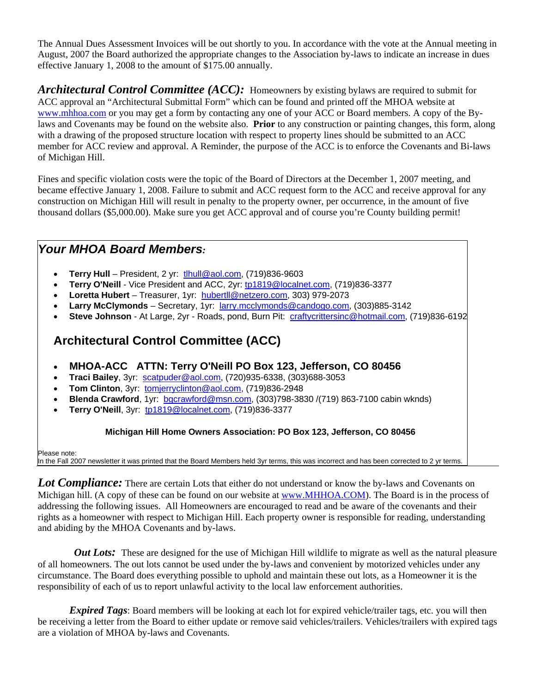The Annual Dues Assessment Invoices will be out shortly to you. In accordance with the vote at the Annual meeting in August, 2007 the Board authorized the appropriate changes to the Association by-laws to indicate an increase in dues effective January 1, 2008 to the amount of \$175.00 annually.

*Architectural Control Committee (ACC):* Homeowners by existing bylaws are required to submit for ACC approval an "Architectural Submittal Form" which can be found and printed off the MHOA website at www.mhhoa.com or you may get a form by contacting any one of your ACC or Board members. A copy of the Bylaws and Covenants may be found on the website also. **Prior** to any construction or painting changes, this form, along with a drawing of the proposed structure location with respect to property lines should be submitted to an ACC member for ACC review and approval. A Reminder, the purpose of the ACC is to enforce the Covenants and Bi-laws of Michigan Hill.

Fines and specific violation costs were the topic of the Board of Directors at the December 1, 2007 meeting, and became effective January 1, 2008. Failure to submit and ACC request form to the ACC and receive approval for any construction on Michigan Hill will result in penalty to the property owner, per occurrence, in the amount of five thousand dollars (\$5,000.00). Make sure you get ACC approval and of course you're County building permit!

# *Your MHOA Board Members:*

- **Terry Hull** President, 2 yr: tlhull@aol.com, (719)836-9603
- **Terry O'Neill** Vice President and ACC, 2yr: tp1819@localnet.com, (719)836-3377
- **Loretta Hubert** Treasurer, 1yr: hubertll@netzero.com, 303) 979-2073
- **Larry McClymonds** Secretary, 1yr: larry.mcclymonds@candogo.com, (303)885-3142
- **Steve Johnson** At Large, 2yr Roads, pond, Burn Pit: craftycrittersinc@hotmail.com, (719)836-6192

# **Architectural Control Committee (ACC)**

- **MHOA-ACC ATTN: Terry O'Neill PO Box 123, Jefferson, CO 80456**
- **Traci Bailey**, 3yr: scatpuder@aol.com, (720)935-6338, (303)688-3053
- **Tom Clinton**, 3yr: tomjerryclinton@aol.com, (719)836-2948
- **Blenda Crawford**, 1yr: bgcrawford@msn.com, (303)798-3830 /(719) 863-7100 cabin wknds)
- **Terry O'Neill**, 3yr: tp1819@localnet.com, (719)836-3377

#### **Michigan Hill Home Owners Association: PO Box 123, Jefferson, CO 80456**

Please note: In the Fall 2007 newsletter it was printed that the Board Members held 3yr terms, this was incorrect and has been corrected to 2 yr terms.

**Lot Compliance:** There are certain Lots that either do not understand or know the by-laws and Covenants on Michigan hill. (A copy of these can be found on our website at www.MHHOA.COM). The Board is in the process of addressing the following issues. All Homeowners are encouraged to read and be aware of the covenants and their rights as a homeowner with respect to Michigan Hill. Each property owner is responsible for reading, understanding and abiding by the MHOA Covenants and by-laws.

*Out Lots:* These are designed for the use of Michigan Hill wildlife to migrate as well as the natural pleasure of all homeowners. The out lots cannot be used under the by-laws and convenient by motorized vehicles under any circumstance. The Board does everything possible to uphold and maintain these out lots, as a Homeowner it is the responsibility of each of us to report unlawful activity to the local law enforcement authorities.

*Expired Tags*: Board members will be looking at each lot for expired vehicle/trailer tags, etc. you will then be receiving a letter from the Board to either update or remove said vehicles/trailers. Vehicles/trailers with expired tags are a violation of MHOA by-laws and Covenants.